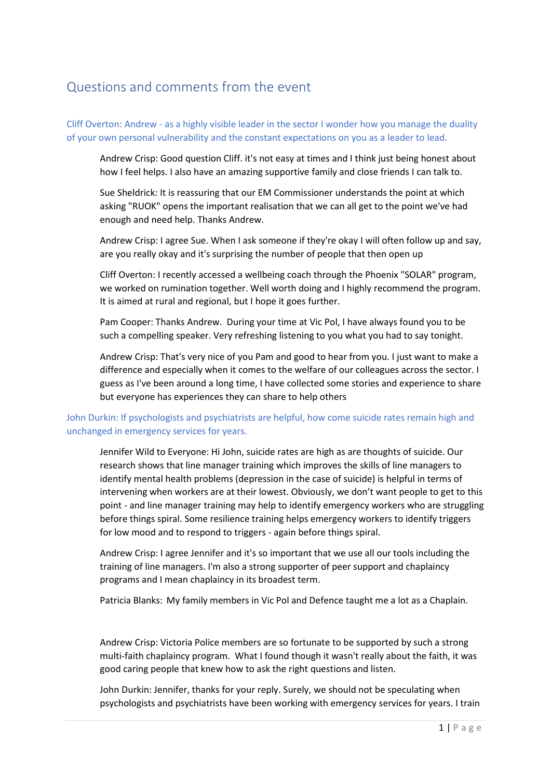## Questions and comments from the event

Cliff Overton: Andrew - as a highly visible leader in the sector I wonder how you manage the duality of your own personal vulnerability and the constant expectations on you as a leader to lead.

Andrew Crisp: Good question Cliff. it's not easy at times and I think just being honest about how I feel helps. I also have an amazing supportive family and close friends I can talk to.

Sue Sheldrick: It is reassuring that our EM Commissioner understands the point at which asking "RUOK" opens the important realisation that we can all get to the point we've had enough and need help. Thanks Andrew.

Andrew Crisp: I agree Sue. When I ask someone if they're okay I will often follow up and say, are you really okay and it's surprising the number of people that then open up

Cliff Overton: I recently accessed a wellbeing coach through the Phoenix "SOLAR" program, we worked on rumination together. Well worth doing and I highly recommend the program. It is aimed at rural and regional, but I hope it goes further.

Pam Cooper: Thanks Andrew. During your time at Vic Pol, I have always found you to be such a compelling speaker. Very refreshing listening to you what you had to say tonight.

Andrew Crisp: That's very nice of you Pam and good to hear from you. I just want to make a difference and especially when it comes to the welfare of our colleagues across the sector. I guess as I've been around a long time, I have collected some stories and experience to share but everyone has experiences they can share to help others

## John Durkin: If psychologists and psychiatrists are helpful, how come suicide rates remain high and unchanged in emergency services for years.

Jennifer Wild to Everyone: Hi John, suicide rates are high as are thoughts of suicide. Our research shows that line manager training which improves the skills of line managers to identify mental health problems (depression in the case of suicide) is helpful in terms of intervening when workers are at their lowest. Obviously, we don't want people to get to this point - and line manager training may help to identify emergency workers who are struggling before things spiral. Some resilience training helps emergency workers to identify triggers for low mood and to respond to triggers - again before things spiral.

Andrew Crisp: I agree Jennifer and it's so important that we use all our tools including the training of line managers. I'm also a strong supporter of peer support and chaplaincy programs and I mean chaplaincy in its broadest term.

Patricia Blanks: My family members in Vic Pol and Defence taught me a lot as a Chaplain.

Andrew Crisp: Victoria Police members are so fortunate to be supported by such a strong multi-faith chaplaincy program. What I found though it wasn't really about the faith, it was good caring people that knew how to ask the right questions and listen.

John Durkin: Jennifer, thanks for your reply. Surely, we should not be speculating when psychologists and psychiatrists have been working with emergency services for years. I train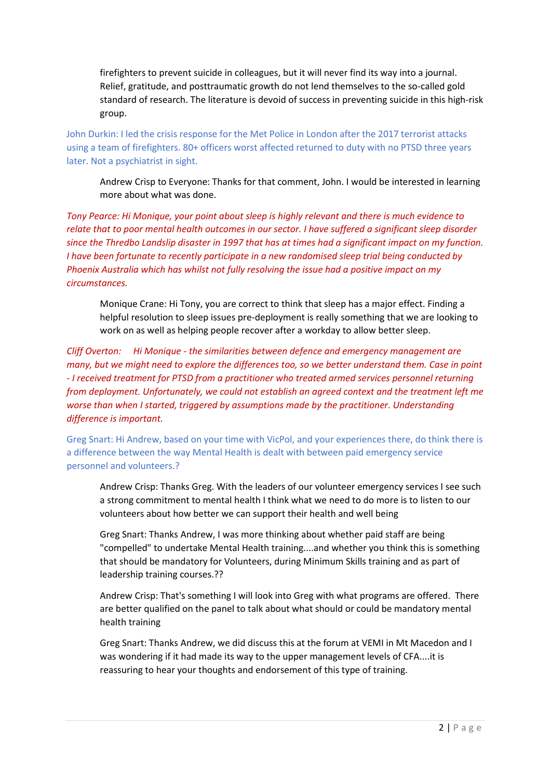firefighters to prevent suicide in colleagues, but it will never find its way into a journal. Relief, gratitude, and posttraumatic growth do not lend themselves to the so-called gold standard of research. The literature is devoid of success in preventing suicide in this high-risk group.

John Durkin: I led the crisis response for the Met Police in London after the 2017 terrorist attacks using a team of firefighters. 80+ officers worst affected returned to duty with no PTSD three years later. Not a psychiatrist in sight.

Andrew Crisp to Everyone: Thanks for that comment, John. I would be interested in learning more about what was done.

*Tony Pearce: Hi Monique, your point about sleep is highly relevant and there is much evidence to relate that to poor mental health outcomes in our sector. I have suffered a significant sleep disorder since the Thredbo Landslip disaster in 1997 that has at times had a significant impact on my function. I have been fortunate to recently participate in a new randomised sleep trial being conducted by Phoenix Australia which has whilst not fully resolving the issue had a positive impact on my circumstances.*

Monique Crane: Hi Tony, you are correct to think that sleep has a major effect. Finding a helpful resolution to sleep issues pre-deployment is really something that we are looking to work on as well as helping people recover after a workday to allow better sleep.

*Cliff Overton: Hi Monique - the similarities between defence and emergency management are many, but we might need to explore the differences too, so we better understand them. Case in point - I received treatment for PTSD from a practitioner who treated armed services personnel returning from deployment. Unfortunately, we could not establish an agreed context and the treatment left me worse than when I started, triggered by assumptions made by the practitioner. Understanding difference is important.*

Greg Snart: Hi Andrew, based on your time with VicPol, and your experiences there, do think there is a difference between the way Mental Health is dealt with between paid emergency service personnel and volunteers.?

Andrew Crisp: Thanks Greg. With the leaders of our volunteer emergency services I see such a strong commitment to mental health I think what we need to do more is to listen to our volunteers about how better we can support their health and well being

Greg Snart: Thanks Andrew, I was more thinking about whether paid staff are being "compelled" to undertake Mental Health training....and whether you think this is something that should be mandatory for Volunteers, during Minimum Skills training and as part of leadership training courses.??

Andrew Crisp: That's something I will look into Greg with what programs are offered. There are better qualified on the panel to talk about what should or could be mandatory mental health training

Greg Snart: Thanks Andrew, we did discuss this at the forum at VEMI in Mt Macedon and I was wondering if it had made its way to the upper management levels of CFA....it is reassuring to hear your thoughts and endorsement of this type of training.